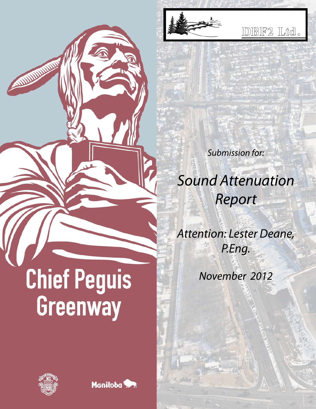

IDBF2 Ltd.

**Submission for:** 

**Sound Attenuation** Report

**Attention: Lester Deane,** P.Eng.

November 2012

# **Chief Peguis** Greenway



ANDUNDATION

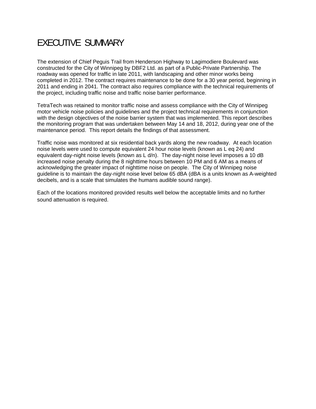# EXECUTIVE SUMMARY

The extension of Chief Peguis Trail from Henderson Highway to Lagimodiere Boulevard was constructed for the City of Winnipeg by DBF2 Ltd. as part of a Public-Private Partnership. The roadway was opened for traffic in late 2011, with landscaping and other minor works being completed in 2012. The contract requires maintenance to be done for a 30 year period, beginning in 2011 and ending in 2041. The contract also requires compliance with the technical requirements of the project, including traffic noise and traffic noise barrier performance.

TetraTech was retained to monitor traffic noise and assess compliance with the City of Winnipeg motor vehicle noise policies and guidelines and the project technical requirements in conjunction with the design objectives of the noise barrier system that was implemented. This report describes the monitoring program that was undertaken between May 14 and 18, 2012, during year one of the maintenance period. This report details the findings of that assessment.

Traffic noise was monitored at six residential back yards along the new roadway. At each location noise levels were used to compute equivalent 24 hour noise levels (known as L eq 24) and equivalent day-night noise levels (known as L d/n). The day-night noise level imposes a 10 dB increased noise penalty during the 8 nighttime hours between 10 PM and 6 AM as a means of acknowledging the greater impact of nighttime noise on people. The City of Winnipeg noise guideline is to maintain the day-night noise level below 65 dBA (dBA is a units known as A-weighted decibels, and is a scale that simulates the humans audible sound range).

Each of the locations monitored provided results well below the acceptable limits and no further sound attenuation is required.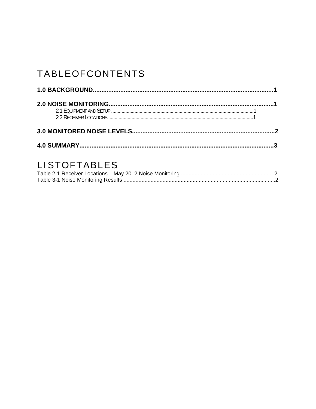# TABLEOFCONTENTS

# LISTOFTABLES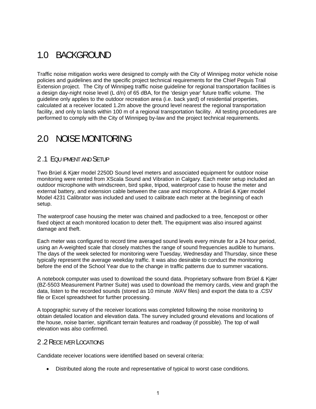# 1.0 BACKGROUND

Traffic noise mitigation works were designed to comply with the City of Winnipeg motor vehicle noise policies and guidelines and the specific project technical requirements for the Chief Peguis Trail Extension project. The City of Winnipeg traffic noise guideline for regional transportation facilities is a design day-night noise level (L d/n) of 65 dBA, for the 'design year' future traffic volume. The guideline only applies to the outdoor recreation area (i.e. back yard) of residential properties, calculated at a receiver located 1.2m above the ground level nearest the regional transportation facility, and only to lands within 100 m of a regional transportation facility. All testing procedures are performed to comply with the City of Winnipeg by-law and the project technical requirements.

#### 2.0 NOISE MONITORING

#### 2 .1 EQU IPMENT AND SETUP

Two Brüel & Kjær model 2250D Sound level meters and associated equipment for outdoor noise monitoring were rented from XScala Sound and Vibration in Calgary. Each meter setup included an outdoor microphone with windscreen, bird spike, tripod, waterproof case to house the meter and external battery, and extension cable between the case and microphone. A Brüel & Kjær model Model 4231 Calibrator was included and used to calibrate each meter at the beginning of each setup.

The waterproof case housing the meter was chained and padlocked to a tree, fencepost or other fixed object at each monitored location to deter theft. The equipment was also insured against damage and theft.

Each meter was configured to record time averaged sound levels every minute for a 24 hour period, using an A-weighted scale that closely matches the range of sound frequencies audible to humans. The days of the week selected for monitoring were Tuesday, Wednesday and Thursday, since these typically represent the average weekday traffic. It was also desirable to conduct the monitoring before the end of the School Year due to the change in traffic patterns due to summer vacations.

A notebook computer was used to download the sound data. Proprietary software from Brüel & Kjær (BZ-5503 Measurement Partner Suite) was used to download the memory cards, view and graph the data, listen to the recorded sounds (stored as 10 minute .WAV files) and export the data to a .CSV file or Excel spreadsheet for further processing.

A topographic survey of the receiver locations was completed following the noise monitoring to obtain detailed location and elevation data. The survey included ground elevations and locations of the house, noise barrier, significant terrain features and roadway (if possible). The top of wall elevation was also confirmed.

#### 2 .2 RECE IVER LOCATIONS

Candidate receiver locations were identified based on several criteria:

Distributed along the route and representative of typical to worst case conditions.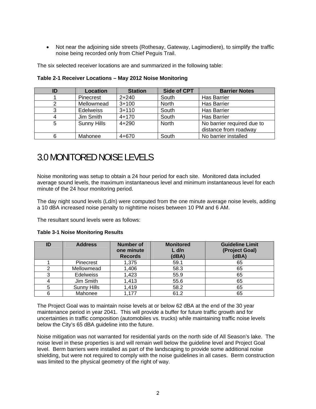Not near the adjoining side streets (Rothesay, Gateway, Lagimodiere), to simplify the traffic noise being recorded only from Chief Peguis Trail.

The six selected receiver locations are and summarized in the following table:

| ID | <b>Location</b>    | <b>Station</b> | <b>Side of CPT</b> | <b>Barrier Notes</b>                                |
|----|--------------------|----------------|--------------------|-----------------------------------------------------|
|    | Pinecrest          | $2 + 240$      | South              | <b>Has Barrier</b>                                  |
|    | Mellowmead         | $3 + 100$      | North              | <b>Has Barrier</b>                                  |
| 3  | <b>Edelweiss</b>   | $3 + 110$      | South              | <b>Has Barrier</b>                                  |
|    | Jim Smith          | $4 + 170$      | South              | <b>Has Barrier</b>                                  |
| 5  | <b>Sunny Hills</b> | $4 + 290$      | <b>North</b>       | No barrier required due to<br>distance from roadway |
| 6  | Mahonee            | $4 + 670$      | South              | No barrier installed                                |

**Table 2-1 Receiver Locations – May 2012 Noise Monitoring** 

## 3.0 MONITORED NOISE LEVELS

Noise monitoring was setup to obtain a 24 hour period for each site. Monitored data included average sound levels, the maximum instantaneous level and minimum instantaneous level for each minute of the 24 hour monitoring period.

The day night sound levels (Ld/n) were computed from the one minute average noise levels, adding a 10 dBA increased noise penalty to nighttime noises between 10 PM and 6 AM.

The resultant sound levels were as follows:

**Table 3-1 Noise Monitoring Results** 

| ID | <b>Address</b>     | Number of<br>one minute<br><b>Records</b> | <b>Monitored</b><br>$L$ d/n<br>(dBA) | <b>Guideline Limit</b><br>(Project Goal)<br>(dBA) |
|----|--------------------|-------------------------------------------|--------------------------------------|---------------------------------------------------|
|    | Pinecrest          | 1,375                                     | 59.1                                 | 65                                                |
|    | Mellowmead         | 1,406                                     | 58.3                                 | 65                                                |
|    | <b>Edelweiss</b>   | 1,423                                     | 55.9                                 | 65                                                |
|    | Jim Smith          | 1,413                                     | 55.6                                 | 65                                                |
|    | <b>Sunny Hills</b> | 1,419                                     | 58.2                                 | 65                                                |
| 6  | Mahonee            | 1,177                                     | 61.2                                 | 65                                                |

The Project Goal was to maintain noise levels at or below 62 dBA at the end of the 30 year maintenance period in year 2041. This will provide a buffer for future traffic growth and for uncertainties in traffic composition (automobiles vs. trucks) while maintaining traffic noise levels below the City's 65 dBA guideline into the future.

Noise mitigation was not warranted for residential yards on the north side of All Season's lake. The noise level in these properties is and will remain well below the guideline level and Project Goal level. Berm barriers were installed as part of the landscaping to provide some additional noise shielding, but were not required to comply with the noise guidelines in all cases. Berm construction was limited to the physical geometry of the right of way.